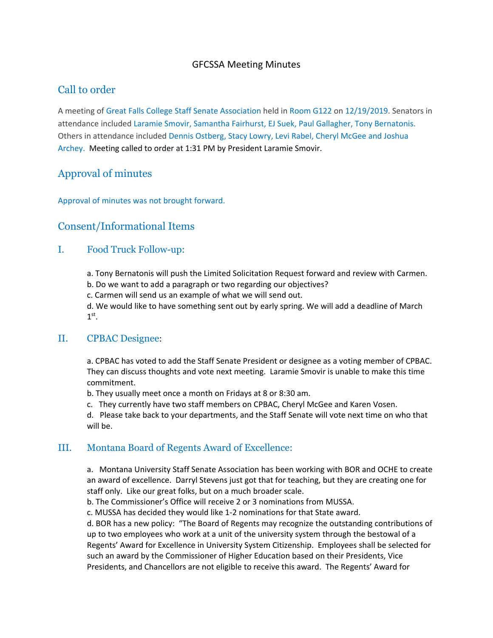### GFCSSA Meeting Minutes

## Call to order

A meeting of Great Falls College Staff Senate Association held in Room G122 on 12/19/2019. Senators in attendance included Laramie Smovir, Samantha Fairhurst, EJ Suek, Paul Gallagher, Tony Bernatonis. Others in attendance included Dennis Ostberg, Stacy Lowry, Levi Rabel, Cheryl McGee and Joshua Archey. Meeting called to order at 1:31 PM by President Laramie Smovir.

# Approval of minutes

Approval of minutes was not brought forward.

### Consent/Informational Items

#### I. Food Truck Follow-up:

a. Tony Bernatonis will push the Limited Solicitation Request forward and review with Carmen.

b. Do we want to add a paragraph or two regarding our objectives?

c. Carmen will send us an example of what we will send out.

d. We would like to have something sent out by early spring. We will add a deadline of March  $1<sup>st</sup>$ .

#### II. CPBAC Designee:

a. CPBAC has voted to add the Staff Senate President or designee as a voting member of CPBAC. They can discuss thoughts and vote next meeting. Laramie Smovir is unable to make this time commitment.

b. They usually meet once a month on Fridays at 8 or 8:30 am.

c. They currently have two staff members on CPBAC, Cheryl McGee and Karen Vosen.

d. Please take back to your departments, and the Staff Senate will vote next time on who that will be.

#### III. Montana Board of Regents Award of Excellence:

a. Montana University Staff Senate Association has been working with BOR and OCHE to create an award of excellence. Darryl Stevens just got that for teaching, but they are creating one for staff only. Like our great folks, but on a much broader scale.

b. The Commissioner's Office will receive 2 or 3 nominations from MUSSA.

c. MUSSA has decided they would like 1‐2 nominations for that State award.

d. BOR has a new policy: "The Board of Regents may recognize the outstanding contributions of up to two employees who work at a unit of the university system through the bestowal of a Regents' Award for Excellence in University System Citizenship. Employees shall be selected for such an award by the Commissioner of Higher Education based on their Presidents, Vice Presidents, and Chancellors are not eligible to receive this award. The Regents' Award for